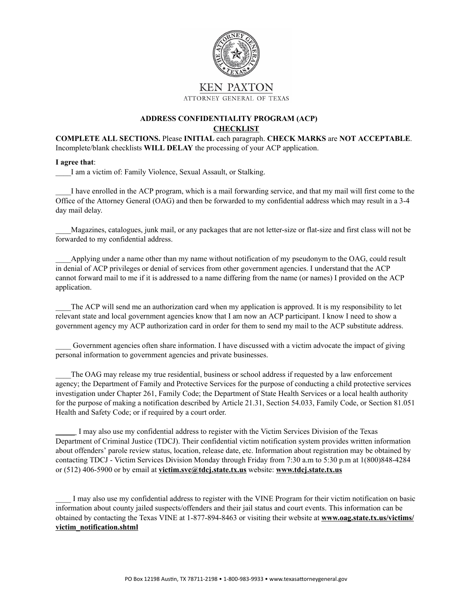

## **ADDRESS CONFIDENTIALITY PROGRAM (ACP) CHECKLIST**

## **COMPLETE ALL SECTIONS.** Please **INITIAL** each paragraph. **CHECK MARKS** are **NOT ACCEPTABLE**. Incomplete/blank checklists **WILL DELAY** the processing of your ACP application.

## **I agree that**:

\_\_\_\_I am a victim of: Family Violence, Sexual Assault, or Stalking.

\_\_\_\_I have enrolled in the ACP program, which is a mail forwarding service, and that my mail will first come to the Office of the Attorney General (OAG) and then be forwarded to my confidential address which may result in a 3-4 day mail delay.

\_\_\_\_Magazines, catalogues, junk mail, or any packages that are not letter-size or flat-size and first class will not be forwarded to my confidential address.

Applying under a name other than my name without notification of my pseudonym to the OAG, could result in denial of ACP privileges or denial of services from other government agencies. I understand that the ACP cannot forward mail to me if it is addressed to a name differing from the name (or names) I provided on the ACP application.

The ACP will send me an authorization card when my application is approved. It is my responsibility to let relevant state and local government agencies know that I am now an ACP participant. I know I need to show a government agency my ACP authorization card in order for them to send my mail to the ACP substitute address.

\_\_\_\_ Government agencies often share information. I have discussed with a victim advocate the impact of giving personal information to government agencies and private businesses.

The OAG may release my true residential, business or school address if requested by a law enforcement agency; the Department of Family and Protective Services for the purpose of conducting a child protective services investigation under Chapter 261, Family Code; the Department of State Health Services or a local health authority for the purpose of making a notification described by Article 21.31, Section 54.033, Family Code, or Section 81.051 Health and Safety Code; or if required by a court order.

\_\_\_\_\_ I may also use my confidential address to register with the Victim Services Division of the Texas Department of Criminal Justice (TDCJ). Their confidential victim notification system provides written information about offenders' parole review status, location, release date, etc. Information about registration may be obtained by contacting TDCJ - Victim Services Division Monday through Friday from 7:30 a.m to 5:30 p.m at 1(800)848-4284 or (512) 406-5900 or by email at **victim.svc@tdcj.state.tx.us** website: **www.tdcj.state.tx.us**

\_\_\_\_ I may also use my confidential address to register with the VINE Program for their victim notification on basic information about county jailed suspects/offenders and their jail status and court events. This information can be obtained by contacting the Texas VINE at 1-877-894-8463 or visiting their website at **www.oag.state.tx.us/victims/ victim\_notification.shtml**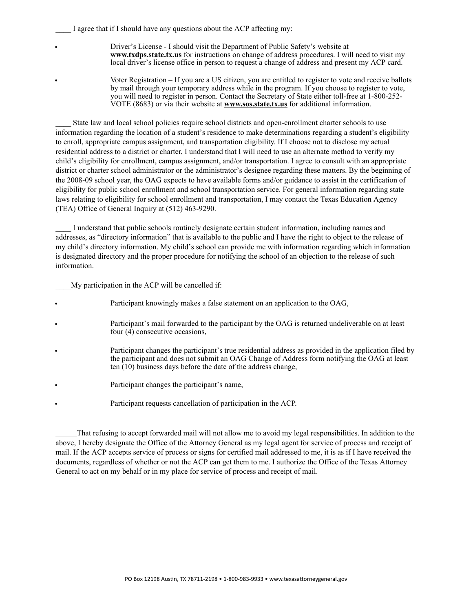I agree that if I should have any questions about the ACP affecting my:

- Driver's License I should visit the Department of Public Safety's website at **www.txdps.state.tx.us** for instructions on change of address procedures. I will need to visit my local driver's license office in person to request a change of address and present my ACP card.
- Voter Registration If you are a US citizen, you are entitled to register to vote and receive ballots by mail through your temporary address while in the program. If you choose to register to vote, you will need to register in person. Contact the Secretary of State either toll-free at 1-800-252- VOTE (8683) or via their website at **www.sos.state.tx.us** for additional information.

State law and local school policies require school districts and open-enrollment charter schools to use information regarding the location of a student's residence to make determinations regarding a student's eligibility to enroll, appropriate campus assignment, and transportation eligibility. If I choose not to disclose my actual residential address to a district or charter, I understand that I will need to use an alternate method to verify my child's eligibility for enrollment, campus assignment, and/or transportation. I agree to consult with an appropriate district or charter school administrator or the administrator's designee regarding these matters. By the beginning of the 2008-09 school year, the OAG expects to have available forms and/or guidance to assist in the certification of eligibility for public school enrollment and school transportation service. For general information regarding state laws relating to eligibility for school enrollment and transportation, I may contact the Texas Education Agency (TEA) Office of General Inquiry at (512) 463-9290.

I understand that public schools routinely designate certain student information, including names and addresses, as "directory information" that is available to the public and I have the right to object to the release of my child's directory information. My child's school can provide me with information regarding which information is designated directory and the proper procedure for notifying the school of an objection to the release of such information.

My participation in the ACP will be cancelled if:

- Participant knowingly makes a false statement on an application to the OAG,
- Participant's mail forwarded to the participant by the OAG is returned undeliverable on at least four (4) consecutive occasions,
- Participant changes the participant's true residential address as provided in the application filed by the participant and does not submit an OAG Change of Address form notifying the OAG at least ten (10) business days before the date of the address change,
- Participant changes the participant's name,
- Participant requests cancellation of participation in the ACP.

\_\_\_\_\_ That refusing to accept forwarded mail will not allow me to avoid my legal responsibilities. In addition to the above, I hereby designate the Office of the Attorney General as my legal agent for service of process and receipt of mail. If the ACP accepts service of process or signs for certified mail addressed to me, it is as if I have received the documents, regardless of whether or not the ACP can get them to me. I authorize the Office of the Texas Attorney General to act on my behalf or in my place for service of process and receipt of mail.